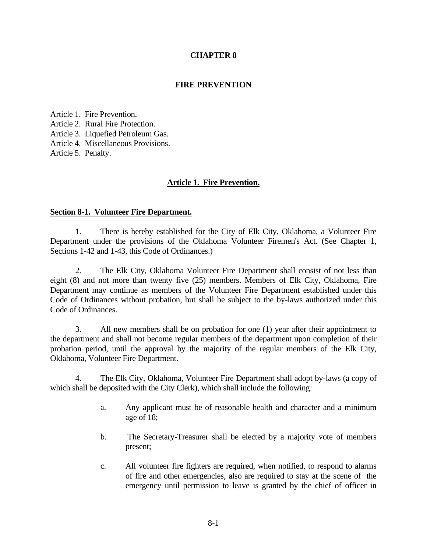# **CHAPTER 8**

# **FIRE PREVENTION**

Article 1. Fire Prevention. Article 2. Rural Fire Protection. Article 3. Liquefied Petroleum Gas. Article 4. Miscellaneous Provisions. Article 5. Penalty.

### **Article 1. Fire Prevention.**

#### **Section 8-1. Volunteer Fire Department.**

1. There is hereby established for the City of Elk City, Oklahoma, a Volunteer Fire Department under the provisions of the Oklahoma Volunteer Firemen's Act. (See Chapter 1, Sections 1-42 and 1-43, this Code of Ordinances.)

2. The Elk City, Oklahoma Volunteer Fire Department shall consist of not less than eight (8) and not more than twenty five (25) members. Members of Elk City, Oklahoma, Fire Department may continue as members of the Volunteer Fire Department established under this Code of Ordinances without probation, but shall be subject to the by-laws authorized under this Code of Ordinances.

3. All new members shall be on probation for one (1) year after their appointment to the department and shall not become regular members of the department upon completion of their probation period, until the approval by the majority of the regular members of the Elk City, Oklahoma, Volunteer Fire Department.

4. The Elk City, Oklahoma, Volunteer Fire Department shall adopt by-laws (a copy of which shall be deposited with the City Clerk), which shall include the following:

- a. Any applicant must be of reasonable health and character and a minimum age of 18;
- b. The Secretary-Treasurer shall be elected by a majority vote of members present;
- c. All volunteer fire fighters are required, when notified, to respond to alarms of fire and other emergencies, also are required to stay at the scene of the emergency until permission to leave is granted by the chief of officer in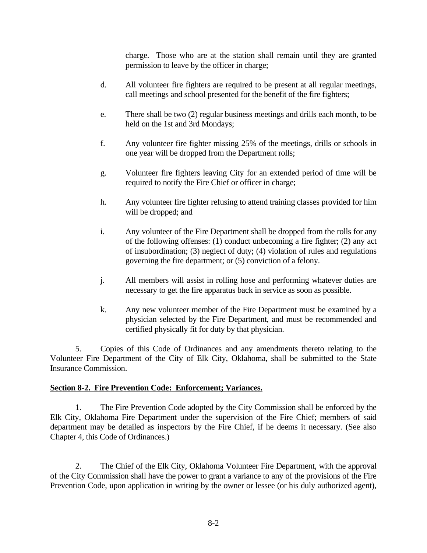charge. Those who are at the station shall remain until they are granted permission to leave by the officer in charge;

- d. All volunteer fire fighters are required to be present at all regular meetings, call meetings and school presented for the benefit of the fire fighters;
- e. There shall be two (2) regular business meetings and drills each month, to be held on the 1st and 3rd Mondays;
- f. Any volunteer fire fighter missing 25% of the meetings, drills or schools in one year will be dropped from the Department rolls;
- g. Volunteer fire fighters leaving City for an extended period of time will be required to notify the Fire Chief or officer in charge;
- h. Any volunteer fire fighter refusing to attend training classes provided for him will be dropped; and
- i. Any volunteer of the Fire Department shall be dropped from the rolls for any of the following offenses: (1) conduct unbecoming a fire fighter; (2) any act of insubordination; (3) neglect of duty; (4) violation of rules and regulations governing the fire department; or (5) conviction of a felony.
- j. All members will assist in rolling hose and performing whatever duties are necessary to get the fire apparatus back in service as soon as possible.
- k. Any new volunteer member of the Fire Department must be examined by a physician selected by the Fire Department, and must be recommended and certified physically fit for duty by that physician.

5. Copies of this Code of Ordinances and any amendments thereto relating to the Volunteer Fire Department of the City of Elk City, Oklahoma, shall be submitted to the State Insurance Commission.

# **Section 8-2. Fire Prevention Code: Enforcement; Variances.**

1. The Fire Prevention Code adopted by the City Commission shall be enforced by the Elk City, Oklahoma Fire Department under the supervision of the Fire Chief; members of said department may be detailed as inspectors by the Fire Chief, if he deems it necessary. (See also Chapter 4, this Code of Ordinances.)

2. The Chief of the Elk City, Oklahoma Volunteer Fire Department, with the approval of the City Commission shall have the power to grant a variance to any of the provisions of the Fire Prevention Code, upon application in writing by the owner or lessee (or his duly authorized agent),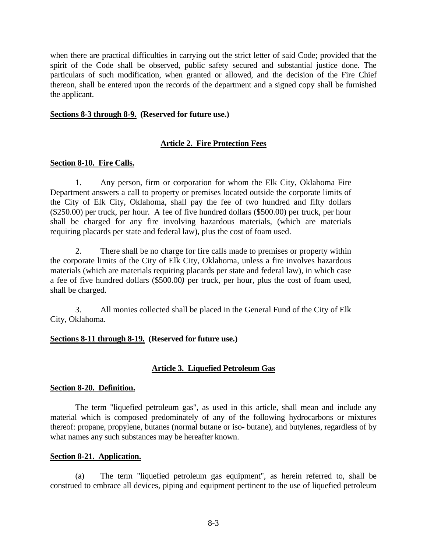when there are practical difficulties in carrying out the strict letter of said Code; provided that the spirit of the Code shall be observed, public safety secured and substantial justice done. The particulars of such modification, when granted or allowed, and the decision of the Fire Chief thereon, shall be entered upon the records of the department and a signed copy shall be furnished the applicant.

### **Sections 8-3 through 8-9. (Reserved for future use.)**

# **Article 2. Fire Protection Fees**

### **Section 8-10. Fire Calls.**

1. Any person, firm or corporation for whom the Elk City, Oklahoma Fire Department answers a call to property or premises located outside the corporate limits of the City of Elk City, Oklahoma, shall pay the fee of two hundred and fifty dollars (\$250.00) per truck, per hour. A fee of five hundred dollars (\$500.00) per truck, per hour shall be charged for any fire involving hazardous materials, (which are materials requiring placards per state and federal law), plus the cost of foam used.

2. There shall be no charge for fire calls made to premises or property within the corporate limits of the City of Elk City, Oklahoma, unless a fire involves hazardous materials (which are materials requiring placards per state and federal law), in which case a fee of five hundred dollars (\$500.00*)* per truck, per hour, plus the cost of foam used, shall be charged.

3. All monies collected shall be placed in the General Fund of the City of Elk City, Oklahoma.

# **Sections 8-11 through 8-19. (Reserved for future use.)**

# **Article 3. Liquefied Petroleum Gas**

#### **Section 8-20. Definition.**

The term "liquefied petroleum gas", as used in this article, shall mean and include any material which is composed predominately of any of the following hydrocarbons or mixtures thereof: propane, propylene, butanes (normal butane or iso- butane), and butylenes, regardless of by what names any such substances may be hereafter known.

#### **Section 8-21. Application.**

(a) The term "liquefied petroleum gas equipment", as herein referred to, shall be construed to embrace all devices, piping and equipment pertinent to the use of liquefied petroleum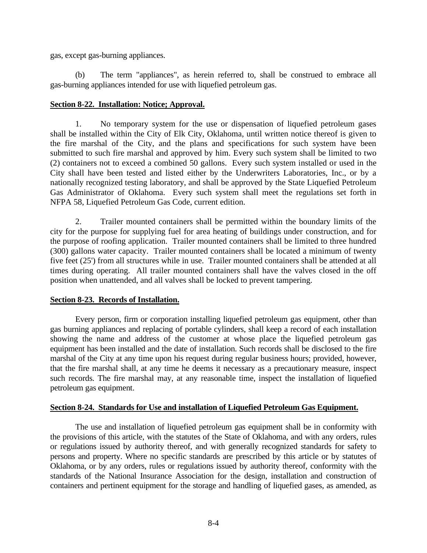gas, except gas-burning appliances.

(b) The term "appliances", as herein referred to, shall be construed to embrace all gas-burning appliances intended for use with liquefied petroleum gas.

# **Section 8-22. Installation: Notice; Approval.**

1. No temporary system for the use or dispensation of liquefied petroleum gases shall be installed within the City of Elk City, Oklahoma, until written notice thereof is given to the fire marshal of the City, and the plans and specifications for such system have been submitted to such fire marshal and approved by him. Every such system shall be limited to two (2) containers not to exceed a combined 50 gallons. Every such system installed or used in the City shall have been tested and listed either by the Underwriters Laboratories, Inc., or by a nationally recognized testing laboratory, and shall be approved by the State Liquefied Petroleum Gas Administrator of Oklahoma. Every such system shall meet the regulations set forth in NFPA 58, Liquefied Petroleum Gas Code, current edition.

2. Trailer mounted containers shall be permitted within the boundary limits of the city for the purpose for supplying fuel for area heating of buildings under construction, and for the purpose of roofing application. Trailer mounted containers shall be limited to three hundred (300) gallons water capacity. Trailer mounted containers shall be located a minimum of twenty five feet (25') from all structures while in use. Trailer mounted containers shall be attended at all times during operating. All trailer mounted containers shall have the valves closed in the off position when unattended, and all valves shall be locked to prevent tampering.

# **Section 8-23. Records of Installation.**

Every person, firm or corporation installing liquefied petroleum gas equipment, other than gas burning appliances and replacing of portable cylinders, shall keep a record of each installation showing the name and address of the customer at whose place the liquefied petroleum gas equipment has been installed and the date of installation. Such records shall be disclosed to the fire marshal of the City at any time upon his request during regular business hours; provided, however, that the fire marshal shall, at any time he deems it necessary as a precautionary measure, inspect such records. The fire marshal may, at any reasonable time, inspect the installation of liquefied petroleum gas equipment.

# **Section 8-24. Standards for Use and installation of Liquefied Petroleum Gas Equipment.**

The use and installation of liquefied petroleum gas equipment shall be in conformity with the provisions of this article, with the statutes of the State of Oklahoma, and with any orders, rules or regulations issued by authority thereof, and with generally recognized standards for safety to persons and property. Where no specific standards are prescribed by this article or by statutes of Oklahoma, or by any orders, rules or regulations issued by authority thereof, conformity with the standards of the National Insurance Association for the design, installation and construction of containers and pertinent equipment for the storage and handling of liquefied gases, as amended, as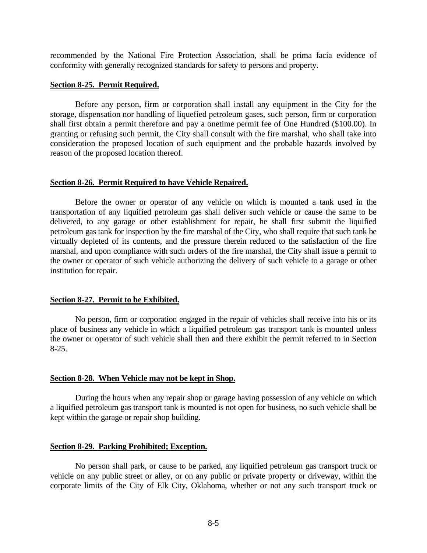recommended by the National Fire Protection Association, shall be prima facia evidence of conformity with generally recognized standards for safety to persons and property.

#### **Section 8-25. Permit Required.**

Before any person, firm or corporation shall install any equipment in the City for the storage, dispensation nor handling of liquefied petroleum gases, such person, firm or corporation shall first obtain a permit therefore and pay a onetime permit fee of One Hundred (\$100.00). In granting or refusing such permit, the City shall consult with the fire marshal, who shall take into consideration the proposed location of such equipment and the probable hazards involved by reason of the proposed location thereof.

### **Section 8-26. Permit Required to have Vehicle Repaired.**

Before the owner or operator of any vehicle on which is mounted a tank used in the transportation of any liquified petroleum gas shall deliver such vehicle or cause the same to be delivered, to any garage or other establishment for repair, he shall first submit the liquified petroleum gas tank for inspection by the fire marshal of the City, who shall require that such tank be virtually depleted of its contents, and the pressure therein reduced to the satisfaction of the fire marshal, and upon compliance with such orders of the fire marshal, the City shall issue a permit to the owner or operator of such vehicle authorizing the delivery of such vehicle to a garage or other institution for repair.

# **Section 8-27. Permit to be Exhibited.**

No person, firm or corporation engaged in the repair of vehicles shall receive into his or its place of business any vehicle in which a liquified petroleum gas transport tank is mounted unless the owner or operator of such vehicle shall then and there exhibit the permit referred to in Section 8-25.

#### **Section 8-28. When Vehicle may not be kept in Shop.**

During the hours when any repair shop or garage having possession of any vehicle on which a liquified petroleum gas transport tank is mounted is not open for business, no such vehicle shall be kept within the garage or repair shop building.

#### **Section 8-29. Parking Prohibited; Exception.**

No person shall park, or cause to be parked, any liquified petroleum gas transport truck or vehicle on any public street or alley, or on any public or private property or driveway, within the corporate limits of the City of Elk City, Oklahoma, whether or not any such transport truck or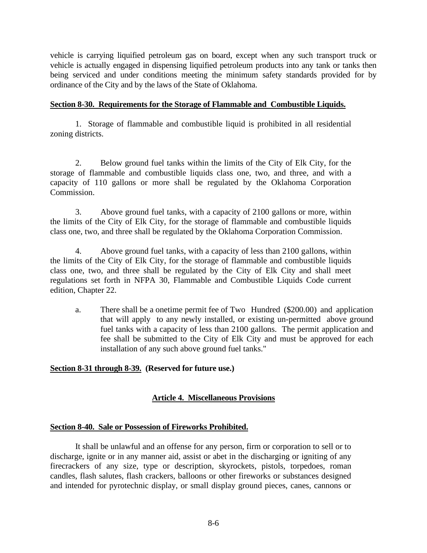vehicle is carrying liquified petroleum gas on board, except when any such transport truck or vehicle is actually engaged in dispensing liquified petroleum products into any tank or tanks then being serviced and under conditions meeting the minimum safety standards provided for by ordinance of the City and by the laws of the State of Oklahoma.

# **Section 8-30. Requirements for the Storage of Flammable and Combustible Liquids.**

1. Storage of flammable and combustible liquid is prohibited in all residential zoning districts.

2. Below ground fuel tanks within the limits of the City of Elk City, for the storage of flammable and combustible liquids class one, two, and three, and with a capacity of 110 gallons or more shall be regulated by the Oklahoma Corporation Commission.

3. Above ground fuel tanks, with a capacity of 2100 gallons or more, within the limits of the City of Elk City, for the storage of flammable and combustible liquids class one, two, and three shall be regulated by the Oklahoma Corporation Commission.

4. Above ground fuel tanks, with a capacity of less than 2100 gallons, within the limits of the City of Elk City, for the storage of flammable and combustible liquids class one, two, and three shall be regulated by the City of Elk City and shall meet regulations set forth in NFPA 30, Flammable and Combustible Liquids Code current edition, Chapter 22.

a. There shall be a onetime permit fee of Two Hundred (\$200.00) and application that will apply to any newly installed, or existing un-permitted above ground fuel tanks with a capacity of less than 2100 gallons. The permit application and fee shall be submitted to the City of Elk City and must be approved for each installation of any such above ground fuel tanks."

# **Section 8-31 through 8-39. (Reserved for future use.)**

# **Article 4. Miscellaneous Provisions**

# **Section 8-40. Sale or Possession of Fireworks Prohibited.**

It shall be unlawful and an offense for any person, firm or corporation to sell or to discharge, ignite or in any manner aid, assist or abet in the discharging or igniting of any firecrackers of any size, type or description, skyrockets, pistols, torpedoes, roman candles, flash salutes, flash crackers, balloons or other fireworks or substances designed and intended for pyrotechnic display, or small display ground pieces, canes, cannons or